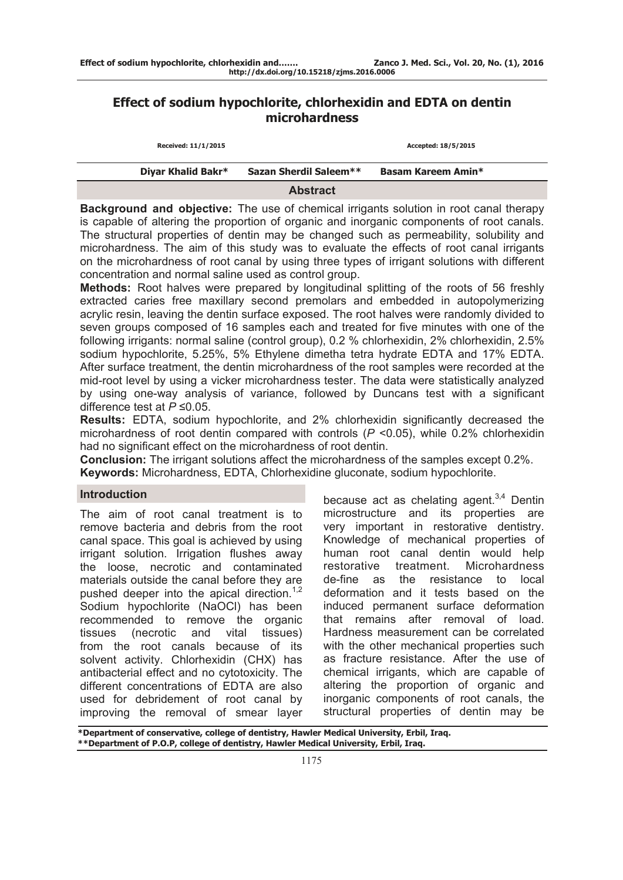# **Effect of sodium hypochlorite, chlorhexidin and EDTA on dentin microhardness**

| Received: 11/1/2015 |                               | Accepted: 18/5/2015 |  |
|---------------------|-------------------------------|---------------------|--|
| Diyar Khalid Bakr*  | <b>Sazan Sherdil Saleem**</b> | Basam Kareem Amin*  |  |
|                     | <b>Abstract</b>               |                     |  |

**Background and objective:** The use of chemical irrigants solution in root canal therapy is capable of altering the proportion of organic and inorganic components of root canals. The structural properties of dentin may be changed such as permeability, solubility and microhardness. The aim of this study was to evaluate the effects of root canal irrigants on the microhardness of root canal by using three types of irrigant solutions with different concentration and normal saline used as control group.

**Methods:** Root halves were prepared by longitudinal splitting of the roots of 56 freshly extracted caries free maxillary second premolars and embedded in autopolymerizing acrylic resin, leaving the dentin surface exposed. The root halves were randomly divided to seven groups composed of 16 samples each and treated for five minutes with one of the following irrigants: normal saline (control group), 0.2 % chlorhexidin, 2% chlorhexidin, 2.5% sodium hypochlorite, 5.25%, 5% Ethylene dimetha tetra hydrate EDTA and 17% EDTA. After surface treatment, the dentin microhardness of the root samples were recorded at the mid-root level by using a vicker microhardness tester. The data were statistically analyzed by using one-way analysis of variance, followed by Duncans test with a significant difference test at *P* ≤0.05.

**Results:** EDTA, sodium hypochlorite, and 2% chlorhexidin significantly decreased the microhardness of root dentin compared with controls (*P* <0.05), while 0.2% chlorhexidin had no significant effect on the microhardness of root dentin.

**Conclusion:** The irrigant solutions affect the microhardness of the samples except 0.2%. **Keywords:** Microhardness, EDTA, Chlorhexidine gluconate, sodium hypochlorite.

#### **Introduction**

The aim of root canal treatment is to remove bacteria and debris from the root canal space. This goal is achieved by using irrigant solution. Irrigation flushes away the loose, necrotic and contaminated materials outside the canal before they are pushed deeper into the apical direction.<sup>1,2</sup> Sodium hypochlorite (NaOCl) has been recommended to remove the organic tissues (necrotic and vital tissues) from the root canals because of its solvent activity. Chlorhexidin (CHX) has antibacterial effect and no cytotoxicity. The different concentrations of EDTA are also used for debridement of root canal by improving the removal of smear layer

because act as chelating agent. $3,4$  Dentin microstructure and its properties are very important in restorative dentistry. Knowledge of mechanical properties of human root canal dentin would help restorative treatment. Microhardness de-fine as the resistance to local deformation and it tests based on the induced permanent surface deformation that remains after removal of load. Hardness measurement can be correlated with the other mechanical properties such as fracture resistance. After the use of chemical irrigants, which are capable of altering the proportion of organic and inorganic components of root canals, the structural properties of dentin may be

**\*Department of conservative, college of dentistry, Hawler Medical University, Erbil, Iraq. \*\*Department of P.O.P, college of dentistry, Hawler Medical University, Erbil, Iraq.**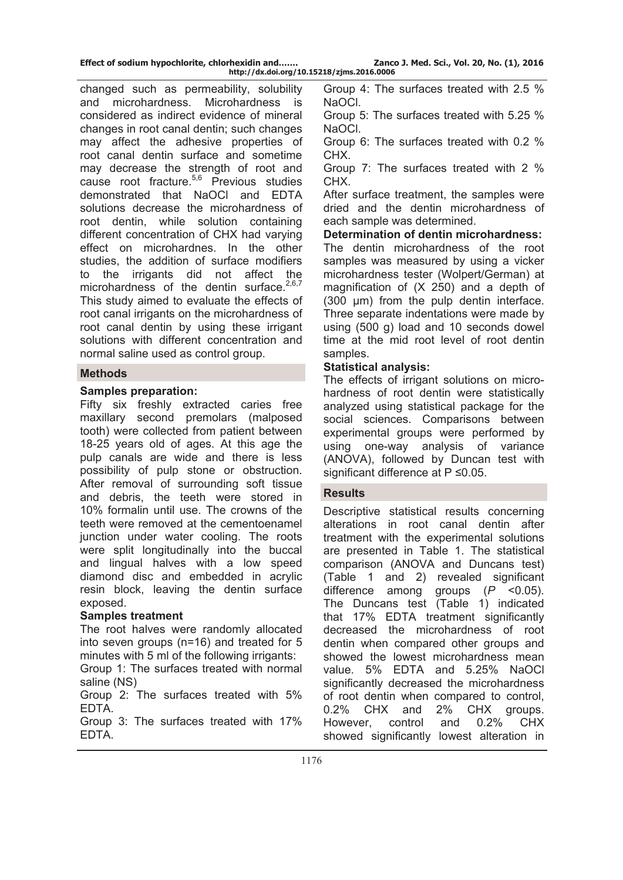changed such as permeability, solubility and microhardness. Microhardness is considered as indirect evidence of mineral changes in root canal dentin; such changes may affect the adhesive properties of root canal dentin surface and sometime may decrease the strength of root and cause root fracture. $5,6$  Previous studies demonstrated that NaOCl and EDTA solutions decrease the microhardness of root dentin, while solution containing different concentration of CHX had varying effect on microhardnes. In the other studies, the addition of surface modifiers to the irrigants did not affect the microhardness of the dentin surface. $2,6,7$ This study aimed to evaluate the effects of root canal irrigants on the microhardness of root canal dentin by using these irrigant solutions with different concentration and normal saline used as control group.

### **Methods**

## **Samples preparation:**

Fifty six freshly extracted caries free maxillary second premolars (malposed tooth) were collected from patient between 18-25 years old of ages. At this age the pulp canals are wide and there is less possibility of pulp stone or obstruction. After removal of surrounding soft tissue and debris, the teeth were stored in 10% formalin until use. The crowns of the teeth were removed at the cementoenamel junction under water cooling. The roots were split longitudinally into the buccal and lingual halves with a low speed diamond disc and embedded in acrylic resin block, leaving the dentin surface exposed.

### **Samples treatment**

The root halves were randomly allocated into seven groups (n=16) and treated for 5 minutes with 5 ml of the following irrigants:

Group 1: The surfaces treated with normal saline (NS)

Group 2: The surfaces treated with 5% EDTA.

Group 3: The surfaces treated with 17% EDTA.

Group 4: The surfaces treated with 2.5 % NaOCl.

Group 5: The surfaces treated with 5.25 % NaOCl.

Group 6: The surfaces treated with 0.2 % CHX.

Group 7: The surfaces treated with 2 % CHX.

After surface treatment, the samples were dried and the dentin microhardness of each sample was determined.

**Determination of dentin microhardness:**  The dentin microhardness of the root samples was measured by using a vicker microhardness tester (Wolpert/German) at magnification of (X 250) and a depth of (300 µm) from the pulp dentin interface. Three separate indentations were made by using (500 g) load and 10 seconds dowel time at the mid root level of root dentin samples.

## **Statistical analysis:**

The effects of irrigant solutions on microhardness of root dentin were statistically analyzed using statistical package for the social sciences. Comparisons between experimental groups were performed by using one-way analysis of variance (ANOVA), followed by Duncan test with significant difference at P ≤0.05.

### **Results**

Descriptive statistical results concerning alterations in root canal dentin after treatment with the experimental solutions are presented in Table 1. The statistical comparison (ANOVA and Duncans test) (Table 1 and 2) revealed significant difference among groups (*P* <0.05). The Duncans test (Table 1) indicated that 17% EDTA treatment significantly decreased the microhardness of root dentin when compared other groups and showed the lowest microhardness mean value. 5% EDTA and 5.25% NaOCl significantly decreased the microhardness of root dentin when compared to control, 0.2% CHX and 2% CHX groups. However, control and 0.2% CHX showed significantly lowest alteration in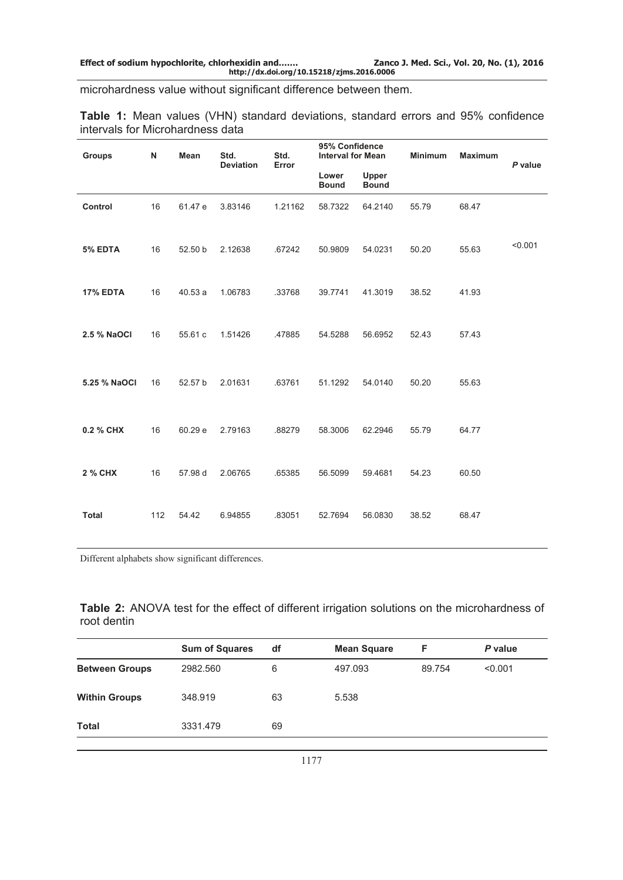microhardness value without significant difference between them.

|  |                                  |  | <b>Table 1:</b> Mean values (VHN) standard deviations, standard errors and 95% confidence |  |  |  |
|--|----------------------------------|--|-------------------------------------------------------------------------------------------|--|--|--|
|  | intervals for Microhardness data |  |                                                                                           |  |  |  |

| <b>Groups</b>   | N   | Mean    | Std.<br><b>Deviation</b> | Std.<br>Error | 95% Confidence<br><b>Interval for Mean</b><br>Lower<br>Upper<br><b>Bound</b><br><b>Bound</b> |         | <b>Minimum</b> | <b>Maximum</b> | P value |  |
|-----------------|-----|---------|--------------------------|---------------|----------------------------------------------------------------------------------------------|---------|----------------|----------------|---------|--|
|                 |     |         |                          |               |                                                                                              |         |                |                |         |  |
| Control         | 16  | 61.47 e | 3.83146                  | 1.21162       | 58.7322                                                                                      | 64.2140 | 55.79          | 68.47          |         |  |
| 5% EDTA         | 16  | 52.50 b | 2.12638                  | .67242        | 50.9809                                                                                      | 54.0231 | 50.20          | 55.63          | < 0.001 |  |
| <b>17% EDTA</b> | 16  | 40.53a  | 1.06783                  | .33768        | 39.7741                                                                                      | 41.3019 | 38.52          | 41.93          |         |  |
| 2.5 % NaOCI     | 16  | 55.61 c | 1.51426                  | .47885        | 54.5288                                                                                      | 56.6952 | 52.43          | 57.43          |         |  |
| 5.25 % NaOCI    | 16  | 52.57 b | 2.01631                  | .63761        | 51.1292                                                                                      | 54.0140 | 50.20          | 55.63          |         |  |
| 0.2 % CHX       | 16  | 60.29 e | 2.79163                  | .88279        | 58.3006                                                                                      | 62.2946 | 55.79          | 64.77          |         |  |
| 2 % CHX         | 16  | 57.98 d | 2.06765                  | .65385        | 56.5099                                                                                      | 59.4681 | 54.23          | 60.50          |         |  |
| <b>Total</b>    | 112 | 54.42   | 6.94855                  | .83051        | 52.7694                                                                                      | 56.0830 | 38.52          | 68.47          |         |  |

Different alphabets show significant differences.

**Table 2:** ANOVA test for the effect of different irrigation solutions on the microhardness of root dentin

|                       | <b>Sum of Squares</b> | df | <b>Mean Square</b> | F      | P value |
|-----------------------|-----------------------|----|--------------------|--------|---------|
| <b>Between Groups</b> | 2982.560              | 6  | 497.093            | 89.754 | < 0.001 |
| <b>Within Groups</b>  | 348.919               | 63 | 5.538              |        |         |
| <b>Total</b>          | 3331.479              | 69 |                    |        |         |
|                       |                       |    |                    |        |         |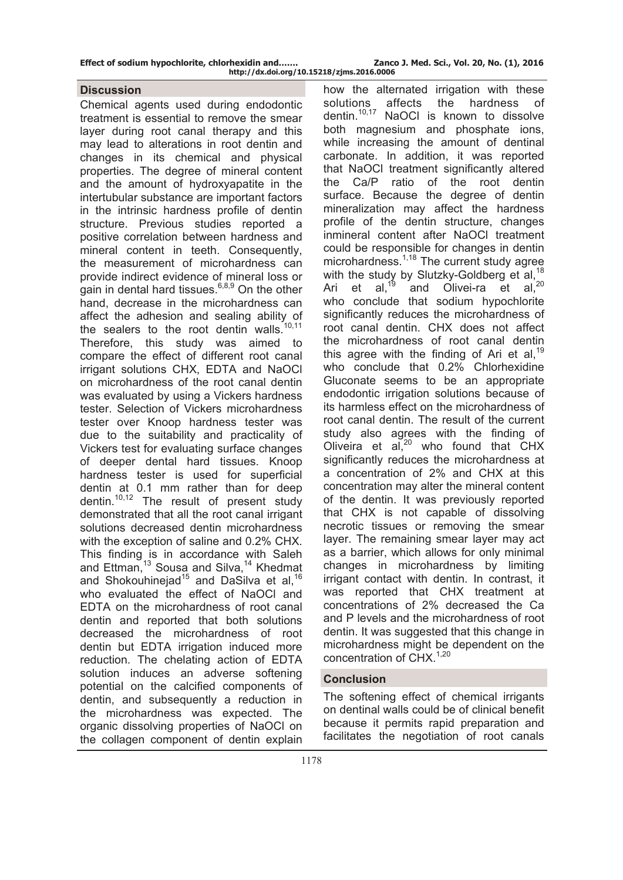#### **Discussion**

Chemical agents used during endodontic treatment is essential to remove the smear layer during root canal therapy and this may lead to alterations in root dentin and changes in its chemical and physical properties. The degree of mineral content and the amount of hydroxyapatite in the intertubular substance are important factors in the intrinsic hardness profile of dentin structure. Previous studies reported a positive correlation between hardness and mineral content in teeth. Consequently, the measurement of microhardness can provide indirect evidence of mineral loss or gain in dental hard tissues. $6,8,9$  On the other hand, decrease in the microhardness can affect the adhesion and sealing ability of the sealers to the root dentin walls. Therefore, this study was aimed to compare the effect of different root canal irrigant solutions CHX, EDTA and NaOCl on microhardness of the root canal dentin was evaluated by using a Vickers hardness tester. Selection of Vickers microhardness tester over Knoop hardness tester was due to the suitability and practicality of Vickers test for evaluating surface changes of deeper dental hard tissues. Knoop hardness tester is used for superficial dentin at 0.1 mm rather than for deep dentin.10,12 The result of present study demonstrated that all the root canal irrigant solutions decreased dentin microhardness with the exception of saline and 0.2% CHX. This finding is in accordance with Saleh and Ettman,<sup>13</sup> Sousa and Silva,<sup>14</sup> Khedmat and Shokouhinejad<sup>15</sup> and DaSilva et al,  $16$ who evaluated the effect of NaOCl and EDTA on the microhardness of root canal dentin and reported that both solutions decreased the microhardness of root dentin but EDTA irrigation induced more reduction. The chelating action of EDTA solution induces an adverse softening potential on the calcified components of dentin, and subsequently a reduction in the microhardness was expected. The organic dissolving properties of NaOCl on the collagen component of dentin explain

how the alternated irrigation with these solutions affects the hardness of dentin.10,17 NaOCl is known to dissolve both magnesium and phosphate ions, while increasing the amount of dentinal carbonate. In addition, it was reported that NaOCl treatment significantly altered the Ca/P ratio of the root dentin surface. Because the degree of dentin mineralization may affect the hardness profile of the dentin structure, changes inmineral content after NaOCl treatment could be responsible for changes in dentin microhardness.<sup>1,18</sup> The current study agree with the study by Slutzky-Goldberg et al,  $18$ Ari et al,  $^{19}$  and Olivei-ra et al,  $^{20}$ who conclude that sodium hypochlorite significantly reduces the microhardness of root canal dentin. CHX does not affect the microhardness of root canal dentin this agree with the finding of Ari et al,  $19$ who conclude that 0.2% Chlorhexidine Gluconate seems to be an appropriate endodontic irrigation solutions because of its harmless effect on the microhardness of root canal dentin. The result of the current study also agrees with the finding of Oliveira et al,20 who found that CHX significantly reduces the microhardness at a concentration of 2% and CHX at this concentration may alter the mineral content of the dentin. It was previously reported that CHX is not capable of dissolving necrotic tissues or removing the smear layer. The remaining smear layer may act as a barrier, which allows for only minimal changes in microhardness by limiting irrigant contact with dentin. In contrast, it was reported that CHX treatment at concentrations of 2% decreased the Ca and P levels and the microhardness of root dentin. It was suggested that this change in microhardness might be dependent on the concentration of  $CHX$ <sup>1,20</sup>

#### **Conclusion**

The softening effect of chemical irrigants on dentinal walls could be of clinical benefit because it permits rapid preparation and facilitates the negotiation of root canals